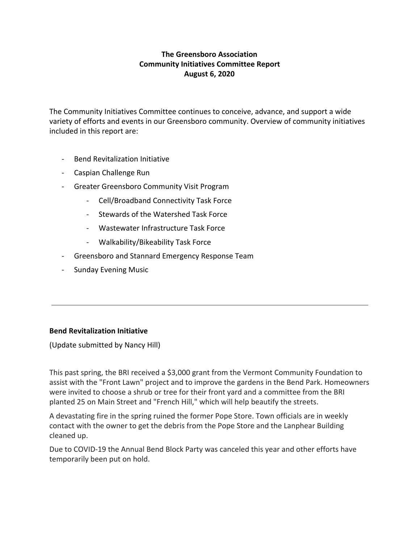# **The Greensboro Association Community Initiatives Committee Report August 6, 2020**

The Community Initiatives Committee continues to conceive, advance, and support a wide variety of efforts and events in our Greensboro community. Overview of community initiatives included in this report are:

- Bend Revitalization Initiative
- Caspian Challenge Run
- Greater Greensboro Community Visit Program
	- Cell/Broadband Connectivity Task Force
	- Stewards of the Watershed Task Force
	- Wastewater Infrastructure Task Force
	- Walkability/Bikeability Task Force
- Greensboro and Stannard Emergency Response Team
- Sunday Evening Music

# **Bend Revitalization Initiative**

(Update submitted by Nancy Hill)

This past spring, the BRI received a \$3,000 grant from the Vermont Community Foundation to assist with the "Front Lawn" project and to improve the gardens in the Bend Park. Homeowners were invited to choose a shrub or tree for their front yard and a committee from the BRI planted 25 on Main Street and "French Hill," which will help beautify the streets.

A devastating fire in the spring ruined the former Pope Store. Town officials are in weekly contact with the owner to get the debris from the Pope Store and the Lanphear Building cleaned up.

Due to COVID-19 the Annual Bend Block Party was canceled this year and other efforts have temporarily been put on hold.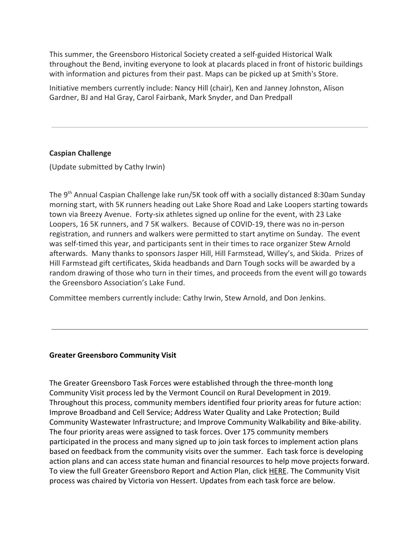This summer, the Greensboro Historical Society created a self-guided Historical Walk throughout the Bend, inviting everyone to look at placards placed in front of historic buildings with information and pictures from their past. Maps can be picked up at Smith's Store.

Initiative members currently include: Nancy Hill (chair), Ken and Janney Johnston, Alison Gardner, BJ and Hal Gray, Carol Fairbank, Mark Snyder, and Dan Predpall

## **Caspian Challenge**

(Update submitted by Cathy Irwin)

The 9<sup>th</sup> Annual Caspian Challenge lake run/5K took off with a socially distanced 8:30am Sunday morning start, with 5K runners heading out Lake Shore Road and Lake Loopers starting towards town via Breezy Avenue. Forty-six athletes signed up online for the event, with 23 Lake Loopers, 16 5K runners, and 7 5K walkers. Because of COVID-19, there was no in-person registration, and runners and walkers were permitted to start anytime on Sunday. The event was self-timed this year, and participants sent in their times to race organizer Stew Arnold afterwards. Many thanks to sponsors Jasper Hill, Hill Farmstead, Willey's, and Skida. Prizes of Hill Farmstead gift certificates, Skida headbands and Darn Tough socks will be awarded by a random drawing of those who turn in their times, and proceeds from the event will go towards the Greensboro Association's Lake Fund.

Committee members currently include: Cathy Irwin, Stew Arnold, and Don Jenkins.

#### **Greater Greensboro Community Visit**

The Greater Greensboro Task Forces were established through the three-month long Community Visit process led by the Vermont Council on Rural Development in 2019. Throughout this process, community members identified four priority areas for future action: Improve Broadband and Cell Service; Address Water Quality and Lake Protection; Build Community Wastewater Infrastructure; and Improve Community Walkability and Bike-ability. The four priority areas were assigned to task forces. Over 175 community members participated in the process and many signed up to join task forces to implement action plans based on feedback from the community visits over the summer. Each task force is developing action plans and can access state human and financial resources to help move projects forward. To view the full Greater Greensboro Report and Action Plan, click [HERE.](https://www.vtrural.org/programs/community-visits/report/greensboro) The Community Visit process was chaired by Victoria von Hessert. Updates from each task force are below.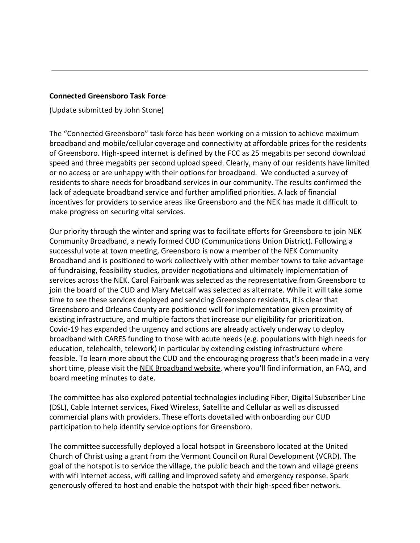### **Connected Greensboro Task Force**

(Update submitted by John Stone)

The "Connected Greensboro" task force has been working on a mission to achieve maximum broadband and mobile/cellular coverage and connectivity at affordable prices for the residents of Greensboro. High-speed internet is defined by the FCC as 25 megabits per second download speed and three megabits per second upload speed. Clearly, many of our residents have limited or no access or are unhappy with their options for broadband. We conducted a survey of residents to share needs for broadband services in our community. The results confirmed the lack of adequate broadband service and further amplified priorities. A lack of financial incentives for providers to service areas like Greensboro and the NEK has made it difficult to make progress on securing vital services.

Our priority through the winter and spring was to facilitate efforts for Greensboro to join NEK Community Broadband, a newly formed CUD (Communications Union District). Following a successful vote at town meeting, Greensboro is now a member of the NEK Community Broadband and is positioned to work collectively with other member towns to take advantage of fundraising, feasibility studies, provider negotiations and ultimately implementation of services across the NEK. Carol Fairbank was selected as the representative from Greensboro to join the board of the CUD and Mary Metcalf was selected as alternate. While it will take some time to see these services deployed and servicing Greensboro residents, it is clear that Greensboro and Orleans County are positioned well for implementation given proximity of existing infrastructure, and multiple factors that increase our eligibility for prioritization. Covid-19 has expanded the urgency and actions are already actively underway to deploy broadband with CARES funding to those with acute needs (e.g. populations with high needs for education, telehealth, telework) in particular by extending existing infrastructure where feasible. To learn more about the CUD and the encouraging progress that's been made in a very short time, please visit the [NEK Broadband website](http://nekbroadband.org/), where you'll find information, an FAQ, and board meeting minutes to date.

The committee has also explored potential technologies including Fiber, Digital Subscriber Line (DSL), Cable Internet services, Fixed Wireless, Satellite and Cellular as well as discussed commercial plans with providers. These efforts dovetailed with onboarding our CUD participation to help identify service options for Greensboro.

The committee successfully deployed a local hotspot in Greensboro located at the United Church of Christ using a grant from the Vermont Council on Rural Development (VCRD). The goal of the hotspot is to service the village, the public beach and the town and village greens with wifi internet access, wifi calling and improved safety and emergency response. Spark generously offered to host and enable the hotspot with their high-speed fiber network.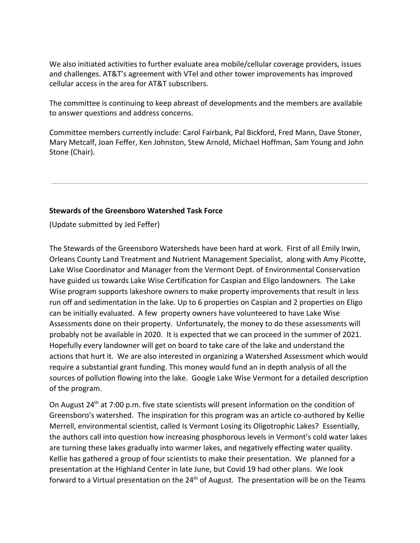We also initiated activities to further evaluate area mobile/cellular coverage providers, issues and challenges. AT&T's agreement with VTel and other tower improvements has improved cellular access in the area for AT&T subscribers.

The committee is continuing to keep abreast of developments and the members are available to answer questions and address concerns.

Committee members currently include: Carol Fairbank, Pal Bickford, Fred Mann, Dave Stoner, Mary Metcalf, Joan Feffer, Ken Johnston, Stew Arnold, Michael Hoffman, Sam Young and John Stone (Chair).

## **Stewards of the Greensboro Watershed Task Force**

(Update submitted by Jed Feffer)

The Stewards of the Greensboro Watersheds have been hard at work. First of all Emily Irwin, Orleans County Land Treatment and Nutrient Management Specialist, along with Amy Picotte, Lake Wise Coordinator and Manager from the Vermont Dept. of Environmental Conservation have guided us towards Lake Wise Certification for Caspian and Eligo landowners. The Lake Wise program supports lakeshore owners to make property improvements that result in less run off and sedimentation in the lake. Up to 6 properties on Caspian and 2 properties on Eligo can be initially evaluated. A few property owners have volunteered to have Lake Wise Assessments done on their property. Unfortunately, the money to do these assessments will probably not be available in 2020. It is expected that we can proceed in the summer of 2021. Hopefully every landowner will get on board to take care of the lake and understand the actions that hurt it. We are also interested in organizing a Watershed Assessment which would require a substantial grant funding. This money would fund an in depth analysis of all the sources of pollution flowing into the lake. Google Lake Wise Vermont for a detailed description of the program.

On August 24<sup>th</sup> at 7:00 p.m. five state scientists will present information on the condition of Greensboro's watershed. The inspiration for this program was an article co-authored by Kellie Merrell, environmental scientist, called Is Vermont Losing its Oligotrophic Lakes? Essentially, the authors call into question how increasing phosphorous levels in Vermont's cold water lakes are turning these lakes gradually into warmer lakes, and negatively effecting water quality. Kellie has gathered a group of four scientists to make their presentation. We planned for a presentation at the Highland Center in late June, but Covid 19 had other plans. We look forward to a Virtual presentation on the 24<sup>th</sup> of August. The presentation will be on the Teams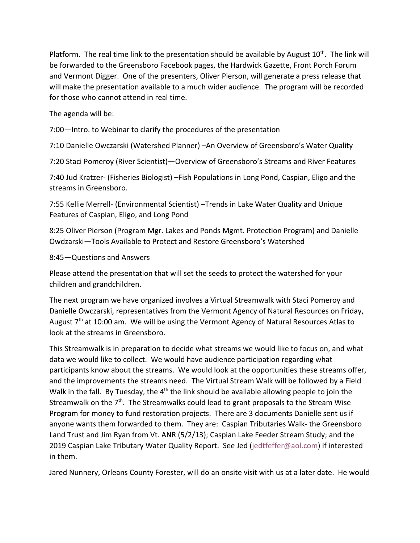Platform. The real time link to the presentation should be available by August 10<sup>th</sup>. The link will be forwarded to the Greensboro Facebook pages, the Hardwick Gazette, Front Porch Forum and Vermont Digger. One of the presenters, Oliver Pierson, will generate a press release that will make the presentation available to a much wider audience. The program will be recorded for those who cannot attend in real time.

The agenda will be:

7:00—Intro. to Webinar to clarify the procedures of the presentation

7:10 Danielle Owczarski (Watershed Planner) –An Overview of Greensboro's Water Quality

7:20 Staci Pomeroy (River Scientist)—Overview of Greensboro's Streams and River Features

7:40 Jud Kratzer- (Fisheries Biologist) –Fish Populations in Long Pond, Caspian, Eligo and the streams in Greensboro.

7:55 Kellie Merrell- (Environmental Scientist) –Trends in Lake Water Quality and Unique Features of Caspian, Eligo, and Long Pond

8:25 Oliver Pierson (Program Mgr. Lakes and Ponds Mgmt. Protection Program) and Danielle Owdzarski—Tools Available to Protect and Restore Greensboro's Watershed

### 8:45—Questions and Answers

Please attend the presentation that will set the seeds to protect the watershed for your children and grandchildren.

The next program we have organized involves a Virtual Streamwalk with Staci Pomeroy and Danielle Owczarski, representatives from the Vermont Agency of Natural Resources on Friday, August 7<sup>th</sup> at 10:00 am. We will be using the Vermont Agency of Natural Resources Atlas to look at the streams in Greensboro.

This Streamwalk is in preparation to decide what streams we would like to focus on, and what data we would like to collect. We would have audience participation regarding what participants know about the streams. We would look at the opportunities these streams offer, and the improvements the streams need. The Virtual Stream Walk will be followed by a Field Walk in the fall. By Tuesday, the  $4<sup>th</sup>$  the link should be available allowing people to join the Streamwalk on the  $7<sup>th</sup>$ . The Streamwalks could lead to grant proposals to the Stream Wise Program for money to fund restoration projects. There are 3 documents Danielle sent us if anyone wants them forwarded to them. They are: Caspian Tributaries Walk- the Greensboro Land Trust and Jim Ryan from Vt. ANR (5/2/13); Caspian Lake Feeder Stream Study; and the 2019 Caspian Lake Tributary Water Quality Report. See Jed (jedtfeffer@aol.com) if interested in them.

Jared Nunnery, Orleans County Forester, will do an onsite visit with us at a later date. He would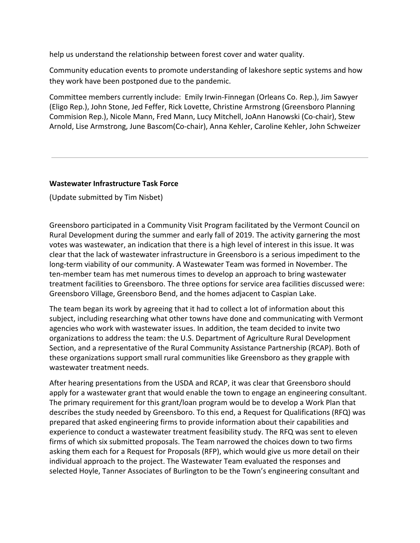help us understand the relationship between forest cover and water quality.

Community education events to promote understanding of lakeshore septic systems and how they work have been postponed due to the pandemic.

Committee members currently include: Emily Irwin-Finnegan (Orleans Co. Rep.), Jim Sawyer (Eligo Rep.), John Stone, Jed Feffer, Rick Lovette, Christine Armstrong (Greensboro Planning Commision Rep.), Nicole Mann, Fred Mann, Lucy Mitchell, JoAnn Hanowski (Co-chair), Stew Arnold, Lise Armstrong, June Bascom(Co-chair), Anna Kehler, Caroline Kehler, John Schweizer

## **Wastewater Infrastructure Task Force**

(Update submitted by Tim Nisbet)

Greensboro participated in a Community Visit Program facilitated by the Vermont Council on Rural Development during the summer and early fall of 2019. The activity garnering the most votes was wastewater, an indication that there is a high level of interest in this issue. It was clear that the lack of wastewater infrastructure in Greensboro is a serious impediment to the long-term viability of our community. A Wastewater Team was formed in November. The ten-member team has met numerous times to develop an approach to bring wastewater treatment facilities to Greensboro. The three options for service area facilities discussed were: Greensboro Village, Greensboro Bend, and the homes adjacent to Caspian Lake.

The team began its work by agreeing that it had to collect a lot of information about this subject, including researching what other towns have done and communicating with Vermont agencies who work with wastewater issues. In addition, the team decided to invite two organizations to address the team: the U.S. Department of Agriculture Rural Development Section, and a representative of the Rural Community Assistance Partnership (RCAP). Both of these organizations support small rural communities like Greensboro as they grapple with wastewater treatment needs.

After hearing presentations from the USDA and RCAP, it was clear that Greensboro should apply for a wastewater grant that would enable the town to engage an engineering consultant. The primary requirement for this grant/loan program would be to develop a Work Plan that describes the study needed by Greensboro. To this end, a Request for Qualifications (RFQ) was prepared that asked engineering firms to provide information about their capabilities and experience to conduct a wastewater treatment feasibility study. The RFQ was sent to eleven firms of which six submitted proposals. The Team narrowed the choices down to two firms asking them each for a Request for Proposals (RFP), which would give us more detail on their individual approach to the project. The Wastewater Team evaluated the responses and selected Hoyle, Tanner Associates of Burlington to be the Town's engineering consultant and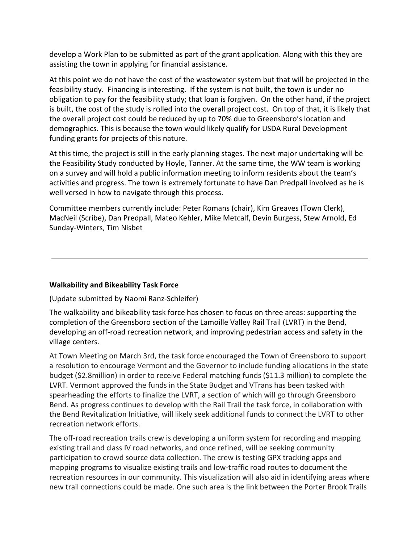develop a Work Plan to be submitted as part of the grant application. Along with this they are assisting the town in applying for financial assistance.

At this point we do not have the cost of the wastewater system but that will be projected in the feasibility study. Financing is interesting. If the system is not built, the town is under no obligation to pay for the feasibility study; that loan is forgiven. On the other hand, if the project is built, the cost of the study is rolled into the overall project cost. On top of that, it is likely that the overall project cost could be reduced by up to 70% due to Greensboro's location and demographics. This is because the town would likely qualify for USDA Rural Development funding grants for projects of this nature.

At this time, the project is still in the early planning stages. The next major undertaking will be the Feasibility Study conducted by Hoyle, Tanner. At the same time, the WW team is working on a survey and will hold a public information meeting to inform residents about the team's activities and progress. The town is extremely fortunate to have Dan Predpall involved as he is well versed in how to navigate through this process.

Committee members currently include: Peter Romans (chair), Kim Greaves (Town Clerk), MacNeil (Scribe), Dan Predpall, Mateo Kehler, Mike Metcalf, Devin Burgess, Stew Arnold, Ed Sunday-Winters, Tim Nisbet

### **Walkability and Bikeability Task Force**

### (Update submitted by Naomi Ranz-Schleifer)

The walkability and bikeability task force has chosen to focus on three areas: supporting the completion of the Greensboro section of the Lamoille Valley Rail Trail (LVRT) in the Bend, developing an off-road recreation network, and improving pedestrian access and safety in the village centers.

At Town Meeting on March 3rd, the task force encouraged the Town of Greensboro to support a resolution to encourage Vermont and the Governor to include funding allocations in the state budget (\$2.8million) in order to receive Federal matching funds (\$11.3 million) to complete the LVRT. Vermont approved the funds in the State Budget and VTrans has been tasked with spearheading the efforts to finalize the LVRT, a section of which will go through Greensboro Bend. As progress continues to develop with the Rail Trail the task force, in collaboration with the Bend Revitalization Initiative, will likely seek additional funds to connect the LVRT to other recreation network efforts.

The off-road recreation trails crew is developing a uniform system for recording and mapping existing trail and class IV road networks, and once refined, will be seeking community participation to crowd source data collection. The crew is testing GPX tracking apps and mapping programs to visualize existing trails and low-traffic road routes to document the recreation resources in our community. This visualization will also aid in identifying areas where new trail connections could be made. One such area is the link between the Porter Brook Trails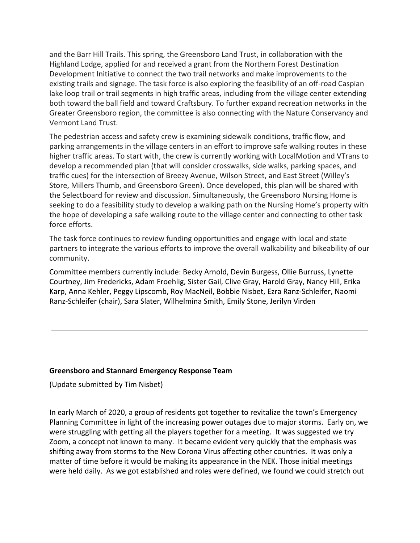and the Barr Hill Trails. This spring, the Greensboro Land Trust, in collaboration with the Highland Lodge, applied for and received a grant from the Northern Forest Destination Development Initiative to connect the two trail networks and make improvements to the existing trails and signage. The task force is also exploring the feasibility of an off-road Caspian lake loop trail or trail segments in high traffic areas, including from the village center extending both toward the ball field and toward Craftsbury. To further expand recreation networks in the Greater Greensboro region, the committee is also connecting with the Nature Conservancy and Vermont Land Trust.

The pedestrian access and safety crew is examining sidewalk conditions, traffic flow, and parking arrangements in the village centers in an effort to improve safe walking routes in these higher traffic areas. To start with, the crew is currently working with LocalMotion and VTrans to develop a recommended plan (that will consider crosswalks, side walks, parking spaces, and traffic cues) for the intersection of Breezy Avenue, Wilson Street, and East Street (Willey's Store, Millers Thumb, and Greensboro Green). Once developed, this plan will be shared with the Selectboard for review and discussion. Simultaneously, the Greensboro Nursing Home is seeking to do a feasibility study to develop a walking path on the Nursing Home's property with the hope of developing a safe walking route to the village center and connecting to other task force efforts.

The task force continues to review funding opportunities and engage with local and state partners to integrate the various efforts to improve the overall walkability and bikeability of our community.

Committee members currently include: Becky Arnold, Devin Burgess, Ollie Burruss, Lynette Courtney, Jim Fredericks, Adam Froehlig, Sister Gail, Clive Gray, Harold Gray, Nancy Hill, Erika Karp, Anna Kehler, Peggy Lipscomb, Roy MacNeil, Bobbie Nisbet, Ezra Ranz-Schleifer, Naomi Ranz-Schleifer (chair), Sara Slater, Wilhelmina Smith, Emily Stone, Jerilyn Virden

### **Greensboro and Stannard Emergency Response Team**

(Update submitted by Tim Nisbet)

In early March of 2020, a group of residents got together to revitalize the town's Emergency Planning Committee in light of the increasing power outages due to major storms. Early on, we were struggling with getting all the players together for a meeting. It was suggested we try Zoom, a concept not known to many. It became evident very quickly that the emphasis was shifting away from storms to the New Corona Virus affecting other countries. It was only a matter of time before it would be making its appearance in the NEK. Those initial meetings were held daily. As we got established and roles were defined, we found we could stretch out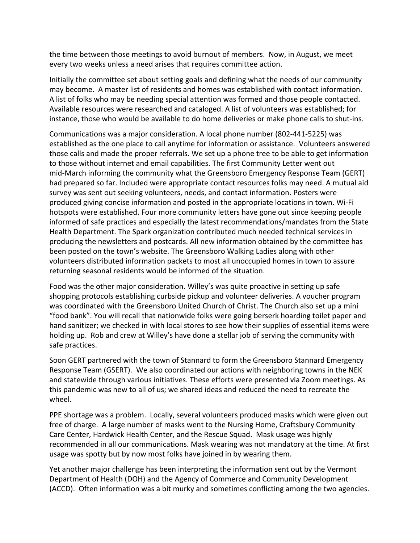the time between those meetings to avoid burnout of members. Now, in August, we meet every two weeks unless a need arises that requires committee action.

Initially the committee set about setting goals and defining what the needs of our community may become. A master list of residents and homes was established with contact information. A list of folks who may be needing special attention was formed and those people contacted. Available resources were researched and cataloged. A list of volunteers was established; for instance, those who would be available to do home deliveries or make phone calls to shut-ins.

Communications was a major consideration. A local phone number (802-441-5225) was established as the one place to call anytime for information or assistance. Volunteers answered those calls and made the proper referrals. We set up a phone tree to be able to get information to those without internet and email capabilities. The first Community Letter went out mid-March informing the community what the Greensboro Emergency Response Team (GERT) had prepared so far. Included were appropriate contact resources folks may need. A mutual aid survey was sent out seeking volunteers, needs, and contact information. Posters were produced giving concise information and posted in the appropriate locations in town. Wi-Fi hotspots were established. Four more community letters have gone out since keeping people informed of safe practices and especially the latest recommendations/mandates from the State Health Department. The Spark organization contributed much needed technical services in producing the newsletters and postcards. All new information obtained by the committee has been posted on the town's website. The Greensboro Walking Ladies along with other volunteers distributed information packets to most all unoccupied homes in town to assure returning seasonal residents would be informed of the situation.

Food was the other major consideration. Willey's was quite proactive in setting up safe shopping protocols establishing curbside pickup and volunteer deliveries. A voucher program was coordinated with the Greensboro United Church of Christ. The Church also set up a mini "food bank". You will recall that nationwide folks were going berserk hoarding toilet paper and hand sanitizer; we checked in with local stores to see how their supplies of essential items were holding up. Rob and crew at Willey's have done a stellar job of serving the community with safe practices.

Soon GERT partnered with the town of Stannard to form the Greensboro Stannard Emergency Response Team (GSERT). We also coordinated our actions with neighboring towns in the NEK and statewide through various initiatives. These efforts were presented via Zoom meetings. As this pandemic was new to all of us; we shared ideas and reduced the need to recreate the wheel.

PPE shortage was a problem. Locally, several volunteers produced masks which were given out free of charge. A large number of masks went to the Nursing Home, Craftsbury Community Care Center, Hardwick Health Center, and the Rescue Squad. Mask usage was highly recommended in all our communications. Mask wearing was not mandatory at the time. At first usage was spotty but by now most folks have joined in by wearing them.

Yet another major challenge has been interpreting the information sent out by the Vermont Department of Health (DOH) and the Agency of Commerce and Community Development (ACCD). Often information was a bit murky and sometimes conflicting among the two agencies.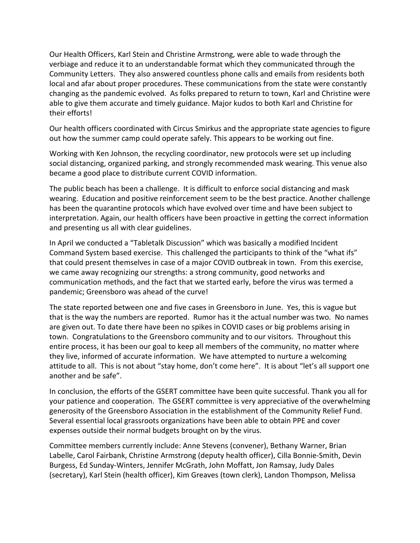Our Health Officers, Karl Stein and Christine Armstrong, were able to wade through the verbiage and reduce it to an understandable format which they communicated through the Community Letters. They also answered countless phone calls and emails from residents both local and afar about proper procedures. These communications from the state were constantly changing as the pandemic evolved. As folks prepared to return to town, Karl and Christine were able to give them accurate and timely guidance. Major kudos to both Karl and Christine for their efforts!

Our health officers coordinated with Circus Smirkus and the appropriate state agencies to figure out how the summer camp could operate safely. This appears to be working out fine.

Working with Ken Johnson, the recycling coordinator, new protocols were set up including social distancing, organized parking, and strongly recommended mask wearing. This venue also became a good place to distribute current COVID information.

The public beach has been a challenge. It is difficult to enforce social distancing and mask wearing. Education and positive reinforcement seem to be the best practice. Another challenge has been the quarantine protocols which have evolved over time and have been subject to interpretation. Again, our health officers have been proactive in getting the correct information and presenting us all with clear guidelines.

In April we conducted a "Tabletalk Discussion" which was basically a modified Incident Command System based exercise. This challenged the participants to think of the "what ifs" that could present themselves in case of a major COVID outbreak in town. From this exercise, we came away recognizing our strengths: a strong community, good networks and communication methods, and the fact that we started early, before the virus was termed a pandemic; Greensboro was ahead of the curve!

The state reported between one and five cases in Greensboro in June. Yes, this is vague but that is the way the numbers are reported. Rumor has it the actual number was two. No names are given out. To date there have been no spikes in COVID cases or big problems arising in town. Congratulations to the Greensboro community and to our visitors. Throughout this entire process, it has been our goal to keep all members of the community, no matter where they live, informed of accurate information. We have attempted to nurture a welcoming attitude to all. This is not about "stay home, don't come here". It is about "let's all support one another and be safe".

In conclusion, the efforts of the GSERT committee have been quite successful. Thank you all for your patience and cooperation. The GSERT committee is very appreciative of the overwhelming generosity of the Greensboro Association in the establishment of the Community Relief Fund. Several essential local grassroots organizations have been able to obtain PPE and cover expenses outside their normal budgets brought on by the virus.

Committee members currently include: Anne Stevens (convener), Bethany Warner, Brian Labelle, Carol Fairbank, Christine Armstrong (deputy health officer), Cilla Bonnie-Smith, Devin Burgess, Ed Sunday-Winters, Jennifer McGrath, John Moffatt, Jon Ramsay, Judy Dales (secretary), Karl Stein (health officer), Kim Greaves (town clerk), Landon Thompson, Melissa